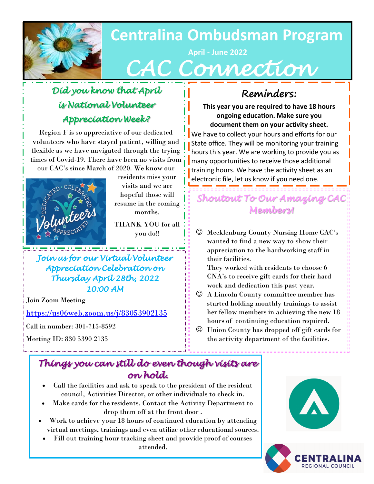

# **Centralina Ombudsman Program**

# **April - June 2022**  *CAC Connection*

## *Did you know that April is National Volunteer Appreciation Week?*

Region F is so appreciative of our dedicated volunteers who have stayed patient, willing and flexible as we have navigated through the trying times of Covid-19. There have been no visits from our CAC's since March of 2020. We know our



residents miss your visits and we are hopeful those will resume in the coming months.

THANK YOU for all you do!!

*Join us for our Virtual Volunteer Appreciation Celebration on Thursday April 28th, 2022 10:00 AM*

Join Zoom Meeting

<https://us06web.zoom.us/j/83053902135>

Call in number: 301-715-8592

Meeting ID: 830 5390 2135

## **Reminders:**

**This year you are required to have 18 hours ongoing education. Make sure you document them on your activity sheet.** 

We have to collect your hours and efforts for our State office. They will be monitoring your training hours this year. We are working to provide you as many opportunities to receive those additional training hours. We have the activity sheet as an electronic file, let us know if you need one.

## *Shoutout To Our Amazing CAC Members!*

☺ Mecklenburg County Nursing Home CAC's wanted to find a new way to show their appreciation to the hardworking staff in their facilities.

They worked with residents to choose 6 CNA's to receive gift cards for their hard work and dedication this past year.

- ☺ A Lincoln County committee member has started holding monthly trainings to assist her fellow members in achieving the new 18 hours of continuing education required.
- ☺ Union County has dropped off gift cards for the activity department of the facilities.

## *Things you can still do even though visits are on hold.*

- Call the facilities and ask to speak to the president of the resident council, Activities Director, or other individuals to check in.
- Make cards for the residents. Contact the Activity Department to drop them off at the front door .
- Work to achieve your 18 hours of continued education by attending virtual meetings, trainings and even utilize other educational sources.
- Fill out training hour tracking sheet and provide proof of courses attended.